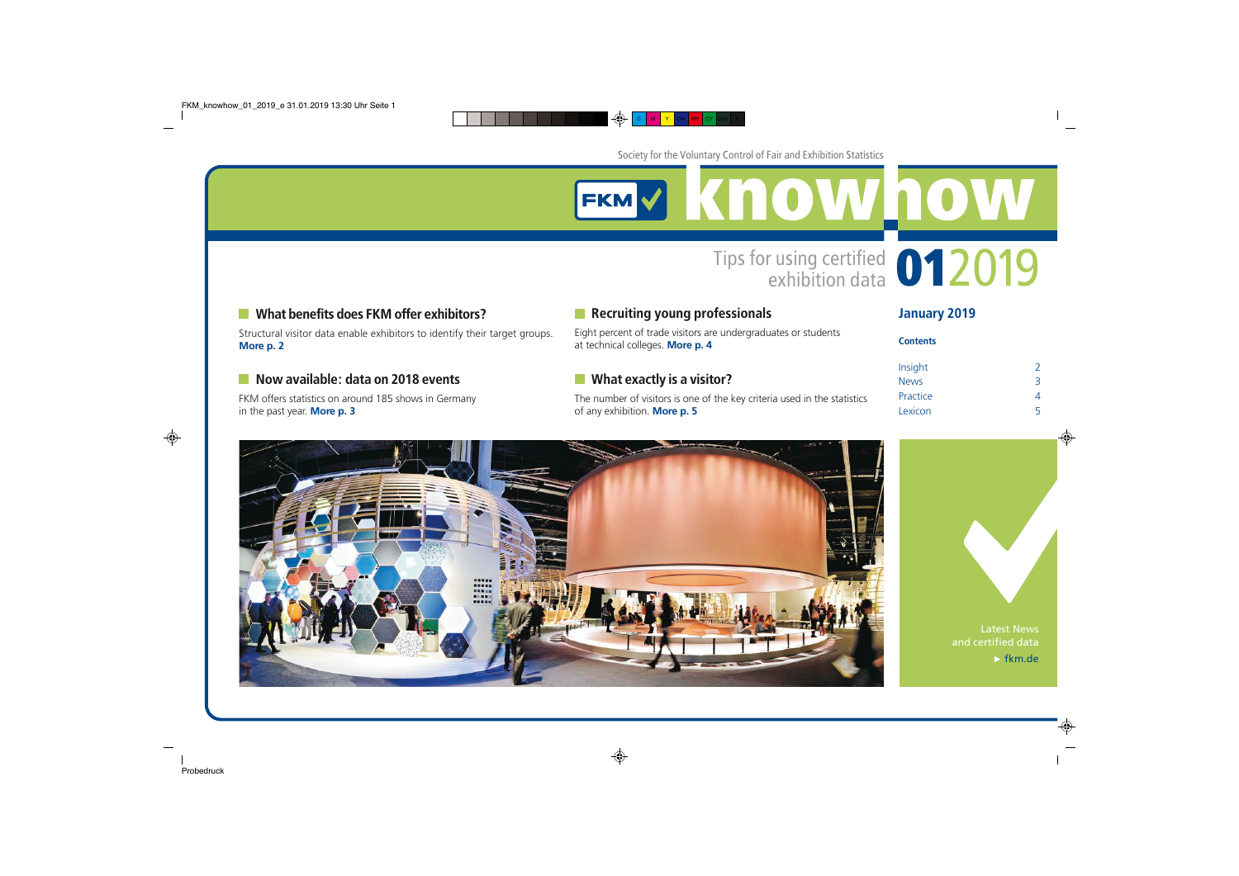**EKMY KNOWNOW** 

## What benefits does FKM offer exhibitors?

Structural visitor data enable exhibitors to identify their target groups. **[More p. 2](#page-1-0)**

### Now available: data on 2018 events

FKM offers statistics on around 185 shows in Germany in the past year. **[More p. 3](#page-2-0)**

## **Recruiting young professionals**

Eight percent of trade visitors are undergraduates or students at technical colleges. **[More p. 4](#page-3-0)**

### **No. 3 What exactly is a visitor?**

The number of visitors is one of the key criteria used in the statistics of any exhibition. **[More p. 5](#page-4-0)**

| January 2019 |  |  |
|--------------|--|--|
|--------------|--|--|

**Contents** 

Tips for using certified **012019** 

| .           |               |
|-------------|---------------|
|             |               |
| Insight     | $\mathcal{L}$ |
| <b>News</b> | 3             |
| Practice    |               |
| Lexicon     | 5             |





Latest News and certified data  $\blacktriangleright$  [fkm.de](http://www.fkm.de/)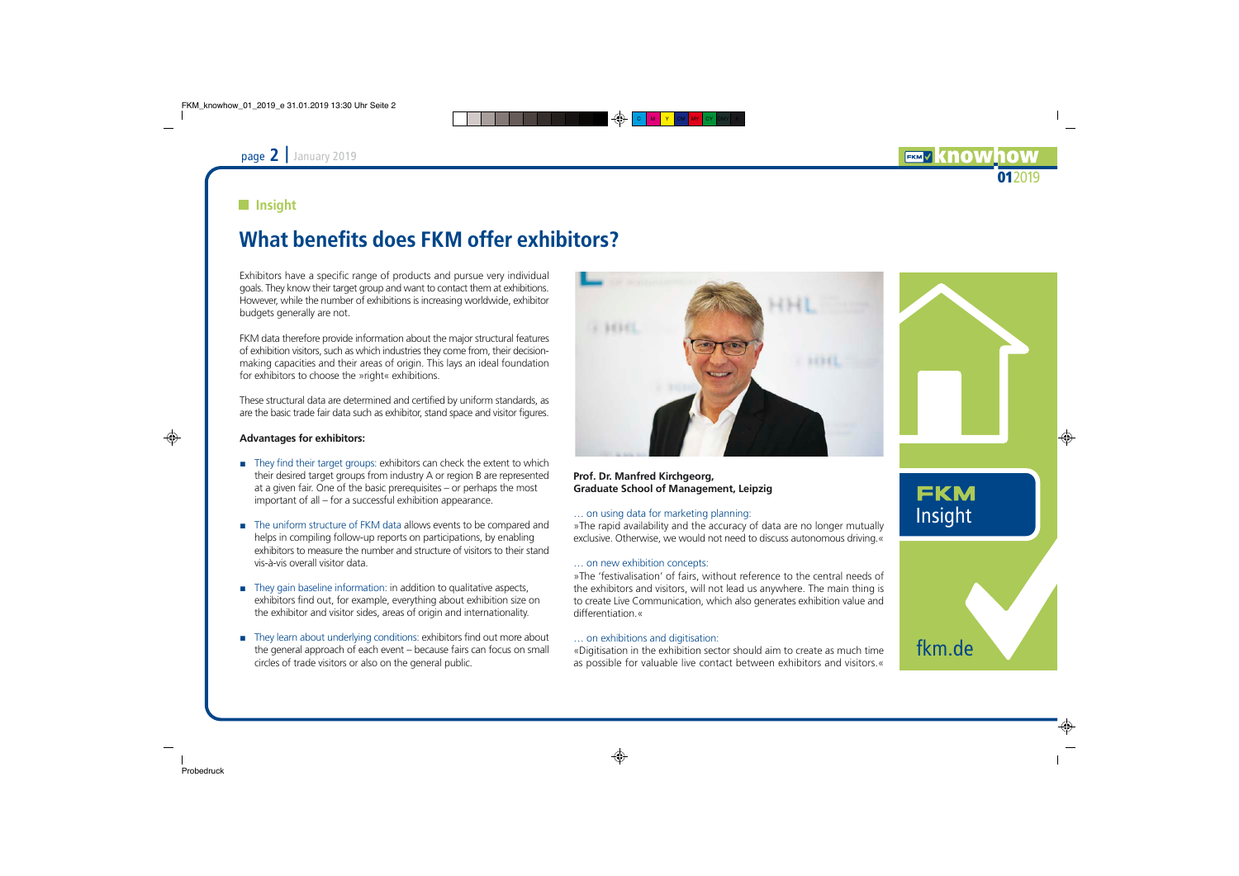## <span id="page-1-0"></span>**Insight**

# What benefits does FKM offer exhibitors?

Exhibitors have a specific range of products and pursue very individual goals. They know their target group and want to contact them at exhibitions. However, while the number of exhibitions is increasing worldwide, exhibitor budgets generally are not.

FKM data therefore provide information about the major structural features of exhibition visitors, such as which industries they come from, their decisionmaking capacities and their areas of origin. This lays an ideal foundation for exhibitors to choose the »right« exhibitions.

These structural data are determined and certified by uniform standards, as are the basic trade fair data such as exhibitor, stand space and visitor figures.

#### **Advantages for exhibitors:**

- $\blacksquare$  They find their target groups: exhibitors can check the extent to which their desired target groups from industry A or region B are represented at a given fair. One of the basic prerequisites – or perhaps the most important of all – for a successful exhibition appearance.
- **F** The uniform structure of FKM data allows events to be compared and helps in compiling follow-up reports on participations, by enabling exhibitors to measure the number and structure of visitors to their stand vis-à-vis overall visitor data.
- $\blacksquare$  They gain baseline information: in addition to qualitative aspects, exhibitors find out, for example, everything about exhibition size on the exhibitor and visitor sides, areas of origin and internationality.
- $\blacksquare$  They learn about underlying conditions: exhibitors find out more about the general approach of each event – because fairs can focus on small circles of trade visitors or also on the general public.



#### **Prof. Dr. Manfred Kirchgeorg, Graduate School of Management, Leipzig**

#### … on using data for marketing planning:

»The rapid availability and the accuracy of data are no longer mutually exclusive. Otherwise, we would not need to discuss autonomous driving.«

### … on new exhibition concepts:

»The 'festivalisation' of fairs, without reference to the central needs of the exhibitors and visitors, will not lead us anywhere. The main thing is to create Live Communication, which also generates exhibition value and differentiation.«

### … on exhibitions and digitisation:

«Digitisation in the exhibition sector should aim to create as much time as possible for valuable live contact between exhibitors and visitors.«

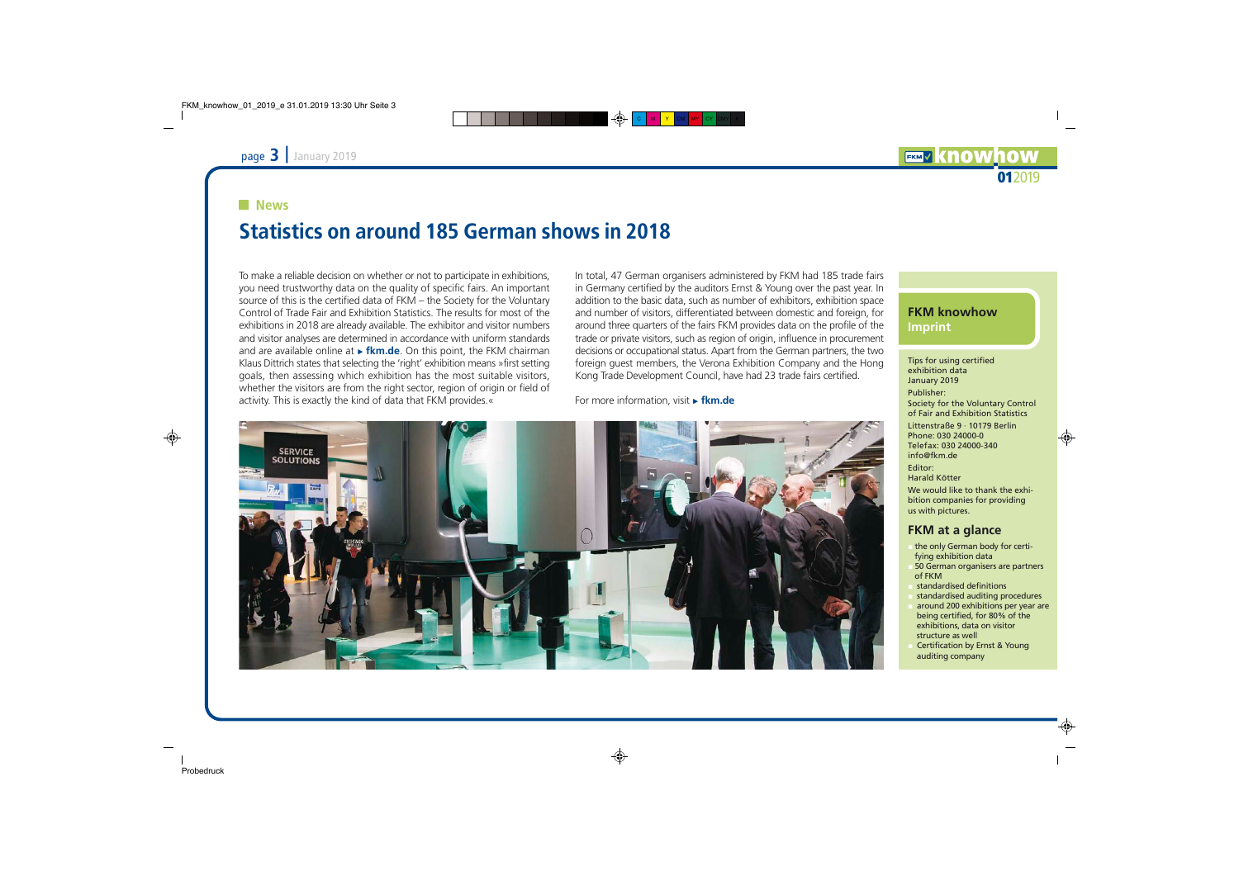#### <span id="page-2-0"></span>**News**

# Statistics on around 185 German shows in 2018

To make a reliable decision on whether or not to participate in exhibitions, you need trustworthy data on the quality of specific fairs. An important source of this is the certified data of FKM – the Society for the Voluntary Control of Trade Fair and Exhibition Statistics. The results for most of the exhibitions in 2018 are already available. The exhibitor and visitor numbers and visitor analyses are determined in accordance with uniform standards and are available online at **Firm.de**. On this point, the FKM chairman Klaus Dittrich states that selecting the 'right' exhibition means »first setting goals, then assessing which exhibition has the most suitable visitors, whether the visitors are from the right sector, region of origin or field of activity. This is exactly the kind of data that FKM provides.«

In total, 47 German organisers administered by FKM had 185 trade fairs in Germany certified by the auditors Ernst & Young over the past year. In addition to the basic data, such as number of exhibitors, exhibition space and number of visitors, differentiated between domestic and foreign, for around three quarters of the fairs FKM provides data on the profile of the trade or private visitors, such as region of origin, influence in procurement decisions or occupational status. Apart from the German partners, the two foreign guest members, the Verona Exhibition Company and the Hong Kong Trade Development Council, have had 23 trade fairs certified.

For more information, visit **Fkm.de** 



### **FKM knowhow Imprint**

Tips for using certified exhibition data January 2019 Publisher: Society for the Voluntary Control of Fair and Exhibition Statistics Littenstraße 9 · 10179 Berlin Phone: 030 24000-0 Telefax: 030 24000-340 [info@fkm.de](mailto:info@fkm.de) Editor: Harald Kötter We would like to thank the exhibition companies for providing us with pictures.

#### **FKM at a glance**

- the only German body for certifying exhibition data
- 50 German organisers are partners of FKM
- standardised definitions
- standardised auditing procedures
- around 200 exhibitions per year are being certified, for 80% of the exhibitions, data on visitor structure as well
- Certification by Ernst & Young auditing company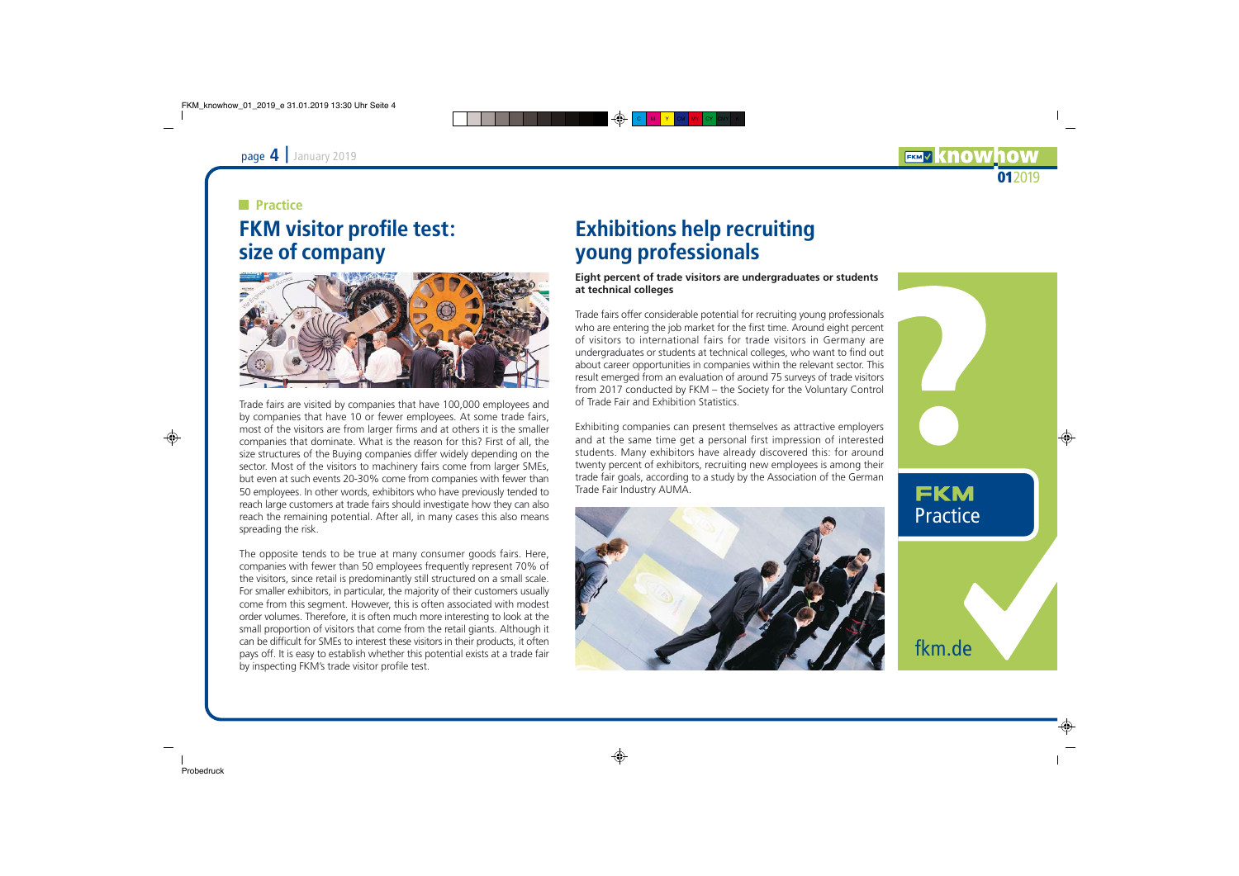## <span id="page-3-0"></span>**Practice**

# FKM visitor profile test: size of company



Trade fairs are visited by companies that have 100,000 employees and by companies that have 10 or fewer employees. At some trade fairs, most of the visitors are from larger firms and at others it is the smaller companies that dominate. What is the reason for this? First of all, the size structures of the Buying companies differ widely depending on the sector. Most of the visitors to machinery fairs come from larger SMEs, but even at such events 20-30% come from companies with fewer than 50 employees. In other words, exhibitors who have previously tended to reach large customers at trade fairs should investigate how they can also reach the remaining potential. After all, in many cases this also means spreading the risk.

The opposite tends to be true at many consumer goods fairs. Here, companies with fewer than 50 employees frequently represent 70% of the visitors, since retail is predominantly still structured on a small scale. For smaller exhibitors, in particular, the majority of their customers usually come from this segment. However, this is often associated with modest order volumes. Therefore, it is often much more interesting to look at the small proportion of visitors that come from the retail giants. Although it can be difficult for SMEs to interest these visitors in their products, it often pays off. It is easy to establish whether this potential exists at a trade fair by inspecting FKM's trade visitor profile test.

# Exhibitions help recruiting young professionals

**Eight percent of trade visitors are undergraduates or students at technical colleges**

Trade fairs offer considerable potential for recruiting young professionals who are entering the job market for the first time. Around eight percent of visitors to international fairs for trade visitors in Germany are undergraduates or students at technical colleges, who want to find out about career opportunities in companies within the relevant sector. This result emerged from an evaluation of around 75 surveys of trade visitors from 2017 conducted by FKM – the Society for the Voluntary Control of Trade Fair and Exhibition Statistics.

Exhibiting companies can present themselves as attractive employers and at the same time get a personal first impression of interested students. Many exhibitors have already discovered this: for around twenty percent of exhibitors, recruiting new employees is among their trade fair goals, according to a study by the Association of the German Trade Fair Industry AUMA.